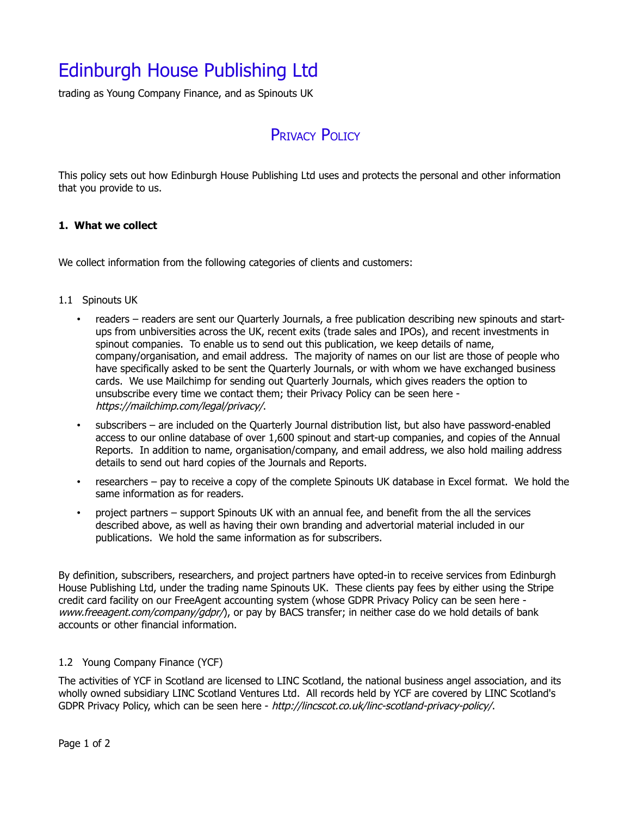# Edinburgh House Publishing Ltd

trading as Young Company Finance, and as Spinouts UK

## PRIVACY POLICY

This policy sets out how Edinburgh House Publishing Ltd uses and protects the personal and other information that you provide to us.

### **1. What we collect**

We collect information from the following categories of clients and customers:

#### 1.1 Spinouts UK

- readers readers are sent our Quarterly Journals, a free publication describing new spinouts and startups from unbiversities across the UK, recent exits (trade sales and IPOs), and recent investments in spinout companies. To enable us to send out this publication, we keep details of name, company/organisation, and email address. The majority of names on our list are those of people who have specifically asked to be sent the Quarterly Journals, or with whom we have exchanged business cards. We use Mailchimp for sending out Quarterly Journals, which gives readers the option to unsubscribe every time we contact them; their Privacy Policy can be seen here https://mailchimp.com/legal/privacy/.
- subscribers are included on the Quarterly Journal distribution list, but also have password-enabled access to our online database of over 1,600 spinout and start-up companies, and copies of the Annual Reports. In addition to name, organisation/company, and email address, we also hold mailing address details to send out hard copies of the Journals and Reports.
- researchers pay to receive a copy of the complete Spinouts UK database in Excel format. We hold the same information as for readers.
- project partners support Spinouts UK with an annual fee, and benefit from the all the services described above, as well as having their own branding and advertorial material included in our publications. We hold the same information as for subscribers.

By definition, subscribers, researchers, and project partners have opted-in to receive services from Edinburgh House Publishing Ltd, under the trading name Spinouts UK. These clients pay fees by either using the Stripe credit card facility on our FreeAgent accounting system (whose GDPR Privacy Policy can be seen here www.freeagent.com/company/gdpr/), or pay by BACS transfer; in neither case do we hold details of bank accounts or other financial information.

### 1.2 Young Company Finance (YCF)

The activities of YCF in Scotland are licensed to LINC Scotland, the national business angel association, and its wholly owned subsidiary LINC Scotland Ventures Ltd. All records held by YCF are covered by LINC Scotland's GDPR Privacy Policy, which can be seen here - http://lincscot.co.uk/linc-scotland-privacy-policy/.